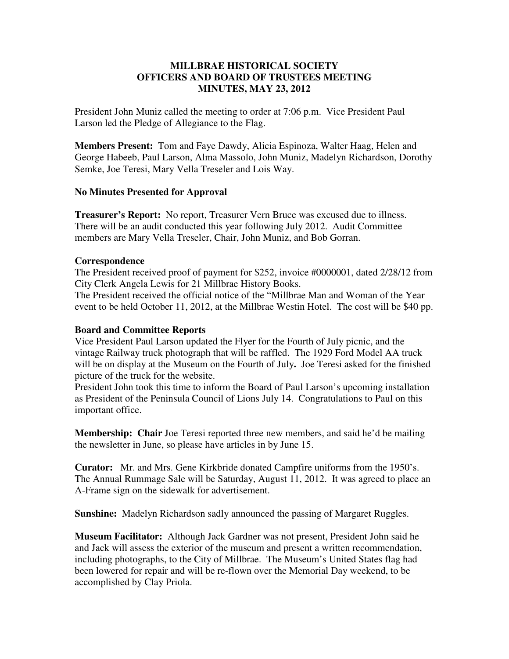### **MILLBRAE HISTORICAL SOCIETY OFFICERS AND BOARD OF TRUSTEES MEETING MINUTES, MAY 23, 2012**

President John Muniz called the meeting to order at 7:06 p.m. Vice President Paul Larson led the Pledge of Allegiance to the Flag.

**Members Present:** Tom and Faye Dawdy, Alicia Espinoza, Walter Haag, Helen and George Habeeb, Paul Larson, Alma Massolo, John Muniz, Madelyn Richardson, Dorothy Semke, Joe Teresi, Mary Vella Treseler and Lois Way.

#### **No Minutes Presented for Approval**

**Treasurer's Report:** No report, Treasurer Vern Bruce was excused due to illness. There will be an audit conducted this year following July 2012. Audit Committee members are Mary Vella Treseler, Chair, John Muniz, and Bob Gorran.

#### **Correspondence**

The President received proof of payment for \$252, invoice #0000001, dated 2/28/12 from City Clerk Angela Lewis for 21 Millbrae History Books.

The President received the official notice of the "Millbrae Man and Woman of the Year event to be held October 11, 2012, at the Millbrae Westin Hotel. The cost will be \$40 pp.

### **Board and Committee Reports**

Vice President Paul Larson updated the Flyer for the Fourth of July picnic, and the vintage Railway truck photograph that will be raffled. The 1929 Ford Model AA truck will be on display at the Museum on the Fourth of July**.** Joe Teresi asked for the finished picture of the truck for the website.

President John took this time to inform the Board of Paul Larson's upcoming installation as President of the Peninsula Council of Lions July 14. Congratulations to Paul on this important office.

**Membership: Chair** Joe Teresi reported three new members, and said he'd be mailing the newsletter in June, so please have articles in by June 15.

**Curator:** Mr. and Mrs. Gene Kirkbride donated Campfire uniforms from the 1950's. The Annual Rummage Sale will be Saturday, August 11, 2012. It was agreed to place an A-Frame sign on the sidewalk for advertisement.

**Sunshine:** Madelyn Richardson sadly announced the passing of Margaret Ruggles.

**Museum Facilitator:** Although Jack Gardner was not present, President John said he and Jack will assess the exterior of the museum and present a written recommendation, including photographs, to the City of Millbrae. The Museum's United States flag had been lowered for repair and will be re-flown over the Memorial Day weekend, to be accomplished by Clay Priola.